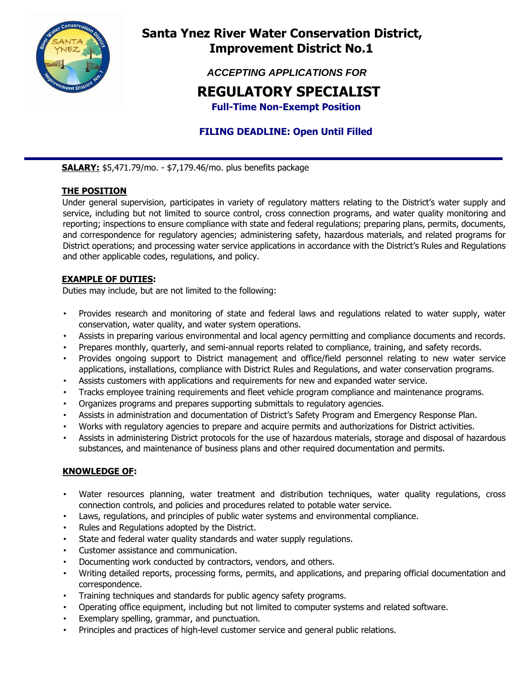

# **Santa Ynez River Water Conservation District, Improvement District No.1**

 *ACCEPTING APPLICATIONS FOR* 

# **REGULATORY SPECIALIST**

 **Full-Time Non-Exempt Position** 

# **FILING DEADLINE: Open Until Filled**

**SALARY:** \$5,471.79/mo. - \$7,179.46/mo. plus benefits package

## **THE POSITION**

Under general supervision, participates in variety of regulatory matters relating to the District's water supply and service, including but not limited to source control, cross connection programs, and water quality monitoring and reporting; inspections to ensure compliance with state and federal regulations; preparing plans, permits, documents, and correspondence for regulatory agencies; administering safety, hazardous materials, and related programs for District operations; and processing water service applications in accordance with the District's Rules and Regulations and other applicable codes, regulations, and policy.

### **EXAMPLE OF DUTIES:**

Duties may include, but are not limited to the following:

- Provides research and monitoring of state and federal laws and regulations related to water supply, water conservation, water quality, and water system operations.
- Assists in preparing various environmental and local agency permitting and compliance documents and records.
- Prepares monthly, quarterly, and semi-annual reports related to compliance, training, and safety records.
- Provides ongoing support to District management and office/field personnel relating to new water service applications, installations, compliance with District Rules and Regulations, and water conservation programs.
- Assists customers with applications and requirements for new and expanded water service.
- Tracks employee training requirements and fleet vehicle program compliance and maintenance programs.
- Organizes programs and prepares supporting submittals to regulatory agencies.
- Assists in administration and documentation of District's Safety Program and Emergency Response Plan.
- Works with regulatory agencies to prepare and acquire permits and authorizations for District activities.
- Assists in administering District protocols for the use of hazardous materials, storage and disposal of hazardous substances, and maintenance of business plans and other required documentation and permits.

### **KNOWLEDGE OF:**

- Water resources planning, water treatment and distribution techniques, water quality regulations, cross connection controls, and policies and procedures related to potable water service.
- Laws, regulations, and principles of public water systems and environmental compliance.
- Rules and Regulations adopted by the District.
- State and federal water quality standards and water supply regulations.
- Customer assistance and communication.
- Documenting work conducted by contractors, vendors, and others.
- Writing detailed reports, processing forms, permits, and applications, and preparing official documentation and correspondence.
- Training techniques and standards for public agency safety programs.
- Operating office equipment, including but not limited to computer systems and related software.
- Exemplary spelling, grammar, and punctuation.
- Principles and practices of high-level customer service and general public relations.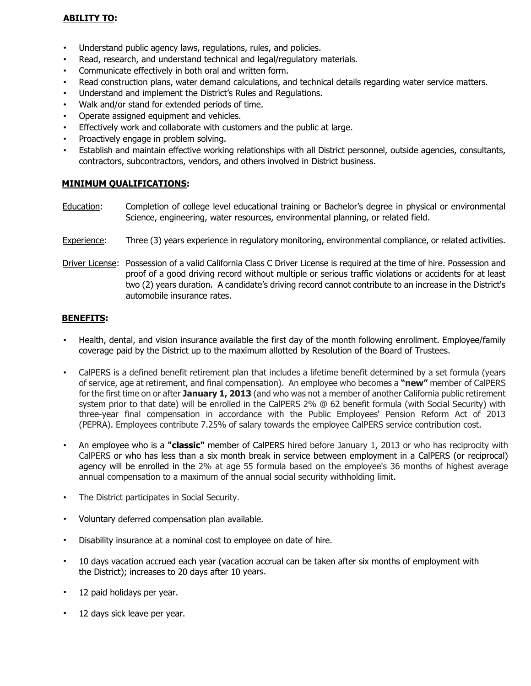### **ABILITY TO:**

- Understand public agency laws, regulations, rules, and policies.
- Read, research, and understand technical and legal/regulatory materials.
- Communicate effectively in both oral and written form.
- Read construction plans, water demand calculations, and technical details regarding water service matters.
- Understand and implement the District's Rules and Regulations.
- Walk and/or stand for extended periods of time.
- Operate assigned equipment and vehicles.
- Effectively work and collaborate with customers and the public at large.
- Proactively engage in problem solving.
- Establish and maintain effective working relationships with all District personnel, outside agencies, consultants, contractors, subcontractors, vendors, and others involved in District business.

#### **MINIMUM QUALIFICATIONS:**

- Education: Completion of college level educational training or Bachelor's degree in physical or environmental Science, engineering, water resources, environmental planning, or related field.
- Experience: Three (3) years experience in regulatory monitoring, environmental compliance, or related activities.
- Driver License: Possession of a valid California Class C Driver License is required at the time of hire. Possession and proof of a good driving record without multiple or serious traffic violations or accidents for at least two (2) years duration. A candidate's driving record cannot contribute to an increase in the District's automobile insurance rates.

#### **BENEFITS:**

- Health, dental, and vision insurance available the first day of the month following enrollment. Employee/family coverage paid by the District up to the maximum allotted by Resolution of the Board of Trustees.
- CalPERS is a defined benefit retirement plan that includes a lifetime benefit determined by a set formula (years of service, age at retirement, and final compensation). An employee who becomes a **"new"** member of CalPERS for the first time on or after **January 1, 2013** (and who was not a member of another California public retirement system prior to that date) will be enrolled in the CalPERS 2% @ 62 benefit formula (with Social Security) with three-year final compensation in accordance with the Public Employees' Pension Reform Act of 2013 (PEPRA). Employees contribute 7.25% of salary towards the employee CalPERS service contribution cost.
- An employee who is a **"classic"** member of CalPERS hired before January 1, 2013 or who has reciprocity with CalPERS or who has less than a six month break in service between employment in a CalPERS (or reciprocal) agency will be enrolled in the 2% at age 55 formula based on the employee's 36 months of highest average annual compensation to a maximum of the annual social security withholding limit.
- The District participates in Social Security.
- Voluntary deferred compensation plan available.
- Disability insurance at a nominal cost to employee on date of hire.
- 10 days vacation accrued each year (vacation accrual can be taken after six months of employment with the District); increases to 20 days after 10 years.
- 12 paid holidays per year.
- 12 days sick leave per year.